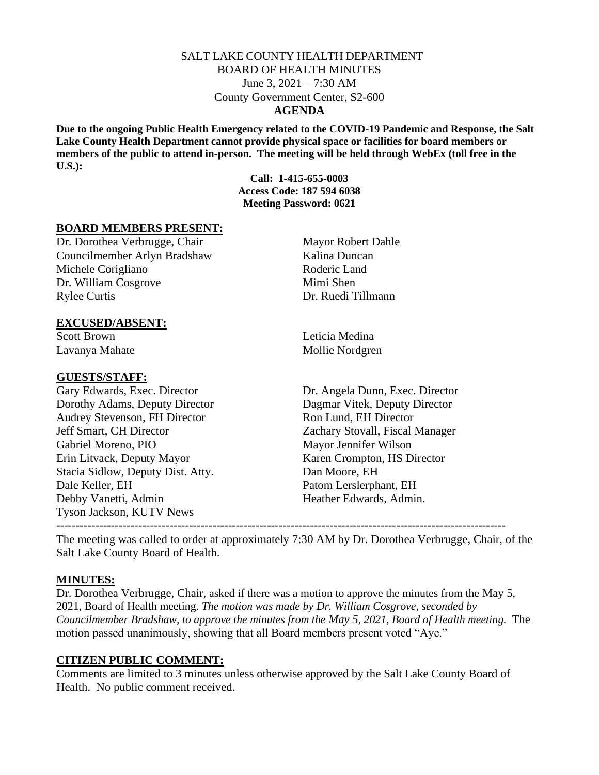## SALT LAKE COUNTY HEALTH DEPARTMENT BOARD OF HEALTH MINUTES June 3, 2021 – 7:30 AM County Government Center, S2-600 **AGENDA**

**Due to the ongoing Public Health Emergency related to the COVID-19 Pandemic and Response, the Salt Lake County Health Department cannot provide physical space or facilities for board members or members of the public to attend in-person. The meeting will be held through WebEx (toll free in the U.S.):**

> **Call: 1-415-655-0003 Access Code: 187 594 6038 Meeting Password: 0621**

#### **BOARD MEMBERS PRESENT:**

Dr. Dorothea Verbrugge, Chair Mayor Robert Dahle Councilmember Arlyn Bradshaw Kalina Duncan Michele Corigliano Roderic Land Dr. William Cosgrove Mimi Shen Rylee Curtis Dr. Ruedi Tillmann

## **EXCUSED/ABSENT:**

Scott Brown Leticia Medina

#### **GUESTS/STAFF:**

Dorothy Adams, Deputy Director Dagmar Vitek, Deputy Director Audrey Stevenson, FH Director Ron Lund, EH Director Jeff Smart, CH Director Zachary Stovall, Fiscal Manager Gabriel Moreno, PIO Mayor Jennifer Wilson Erin Litvack, Deputy Mayor Karen Crompton, HS Director Stacia Sidlow, Deputy Dist. Atty. Dan Moore, EH Dale Keller, EH Patom Lerslerphant, EH Debby Vanetti, Admin Heather Edwards, Admin. Tyson Jackson, KUTV News

Lavanya Mahate Mollie Nordgren

Gary Edwards, Exec. Director Dr. Angela Dunn, Exec. Director

The meeting was called to order at approximately 7:30 AM by Dr. Dorothea Verbrugge, Chair, of the Salt Lake County Board of Health.

-------------------------------------------------------------------------------------------------------------------

## **MINUTES:**

Dr. Dorothea Verbrugge, Chair, asked if there was a motion to approve the minutes from the May 5, 2021, Board of Health meeting. *The motion was made by Dr. William Cosgrove, seconded by Councilmember Bradshaw, to approve the minutes from the May 5, 2021, Board of Health meeting.* The motion passed unanimously, showing that all Board members present voted "Aye."

## **CITIZEN PUBLIC COMMENT:**

Comments are limited to 3 minutes unless otherwise approved by the Salt Lake County Board of Health. No public comment received.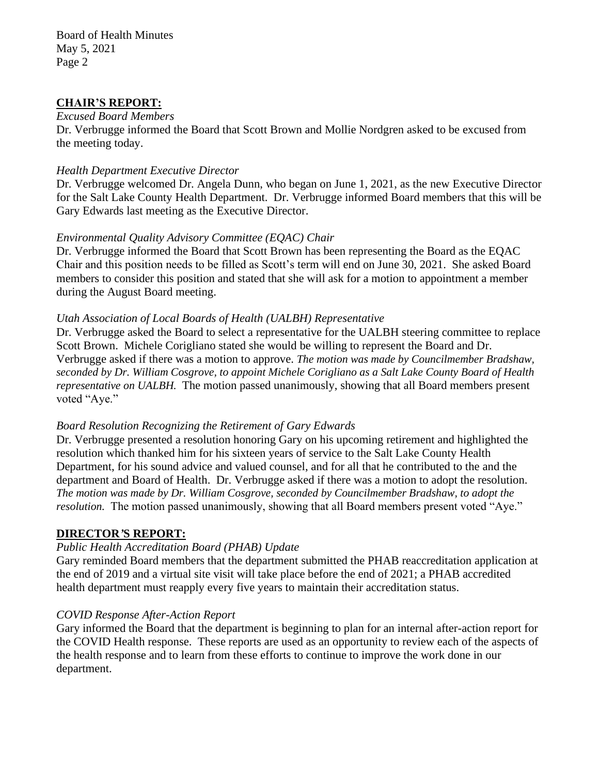Board of Health Minutes May 5, 2021 Page 2

## **CHAIR'S REPORT:**

#### *Excused Board Members*

Dr. Verbrugge informed the Board that Scott Brown and Mollie Nordgren asked to be excused from the meeting today.

#### *Health Department Executive Director*

Dr. Verbrugge welcomed Dr. Angela Dunn, who began on June 1, 2021, as the new Executive Director for the Salt Lake County Health Department. Dr. Verbrugge informed Board members that this will be Gary Edwards last meeting as the Executive Director.

## *Environmental Quality Advisory Committee (EQAC) Chair*

Dr. Verbrugge informed the Board that Scott Brown has been representing the Board as the EQAC Chair and this position needs to be filled as Scott's term will end on June 30, 2021. She asked Board members to consider this position and stated that she will ask for a motion to appointment a member during the August Board meeting.

## *Utah Association of Local Boards of Health (UALBH) Representative*

Dr. Verbrugge asked the Board to select a representative for the UALBH steering committee to replace Scott Brown. Michele Corigliano stated she would be willing to represent the Board and Dr. Verbrugge asked if there was a motion to approve. *The motion was made by Councilmember Bradshaw, seconded by Dr. William Cosgrove, to appoint Michele Corigliano as a Salt Lake County Board of Health representative on UALBH.* The motion passed unanimously, showing that all Board members present voted "Aye."

## *Board Resolution Recognizing the Retirement of Gary Edwards*

Dr. Verbrugge presented a resolution honoring Gary on his upcoming retirement and highlighted the resolution which thanked him for his sixteen years of service to the Salt Lake County Health Department, for his sound advice and valued counsel, and for all that he contributed to the and the department and Board of Health. Dr. Verbrugge asked if there was a motion to adopt the resolution. *The motion was made by Dr. William Cosgrove, seconded by Councilmember Bradshaw, to adopt the resolution.* The motion passed unanimously, showing that all Board members present voted "Aye."

## **DIRECTOR***'***S REPORT:**

## *Public Health Accreditation Board (PHAB) Update*

Gary reminded Board members that the department submitted the PHAB reaccreditation application at the end of 2019 and a virtual site visit will take place before the end of 2021; a PHAB accredited health department must reapply every five years to maintain their accreditation status.

## *COVID Response After-Action Report*

Gary informed the Board that the department is beginning to plan for an internal after-action report for the COVID Health response. These reports are used as an opportunity to review each of the aspects of the health response and to learn from these efforts to continue to improve the work done in our department.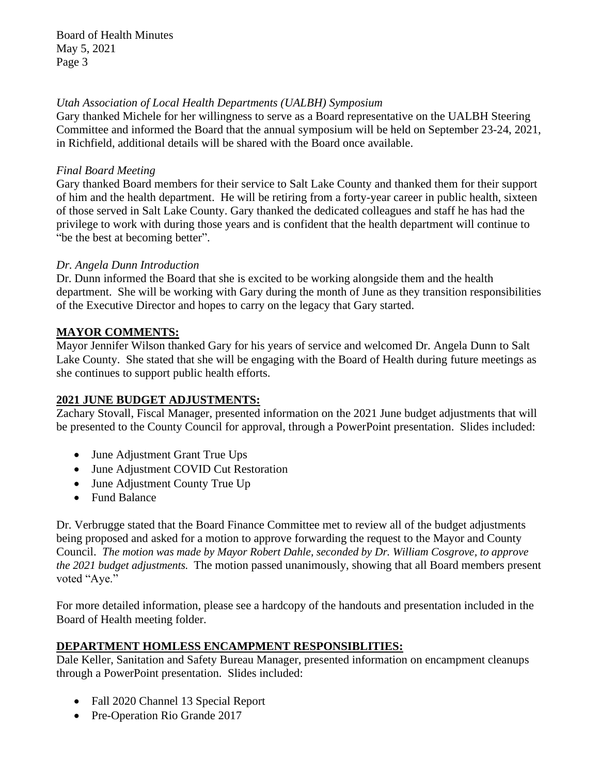# *Utah Association of Local Health Departments (UALBH) Symposium*

Gary thanked Michele for her willingness to serve as a Board representative on the UALBH Steering Committee and informed the Board that the annual symposium will be held on September 23-24, 2021, in Richfield, additional details will be shared with the Board once available.

# *Final Board Meeting*

Gary thanked Board members for their service to Salt Lake County and thanked them for their support of him and the health department. He will be retiring from a forty-year career in public health, sixteen of those served in Salt Lake County. Gary thanked the dedicated colleagues and staff he has had the privilege to work with during those years and is confident that the health department will continue to "be the best at becoming better".

# *Dr. Angela Dunn Introduction*

Dr. Dunn informed the Board that she is excited to be working alongside them and the health department. She will be working with Gary during the month of June as they transition responsibilities of the Executive Director and hopes to carry on the legacy that Gary started.

# **MAYOR COMMENTS:**

Mayor Jennifer Wilson thanked Gary for his years of service and welcomed Dr. Angela Dunn to Salt Lake County. She stated that she will be engaging with the Board of Health during future meetings as she continues to support public health efforts.

# **2021 JUNE BUDGET ADJUSTMENTS:**

Zachary Stovall, Fiscal Manager, presented information on the 2021 June budget adjustments that will be presented to the County Council for approval, through a PowerPoint presentation. Slides included:

- June Adjustment Grant True Ups
- June Adjustment COVID Cut Restoration
- June Adjustment County True Up
- Fund Balance

Dr. Verbrugge stated that the Board Finance Committee met to review all of the budget adjustments being proposed and asked for a motion to approve forwarding the request to the Mayor and County Council. *The motion was made by Mayor Robert Dahle, seconded by Dr. William Cosgrove, to approve the 2021 budget adjustments.* The motion passed unanimously, showing that all Board members present voted "Aye."

For more detailed information, please see a hardcopy of the handouts and presentation included in the Board of Health meeting folder.

# **DEPARTMENT HOMLESS ENCAMPMENT RESPONSIBLITIES:**

Dale Keller, Sanitation and Safety Bureau Manager, presented information on encampment cleanups through a PowerPoint presentation. Slides included:

- Fall 2020 Channel 13 Special Report
- Pre-Operation Rio Grande 2017